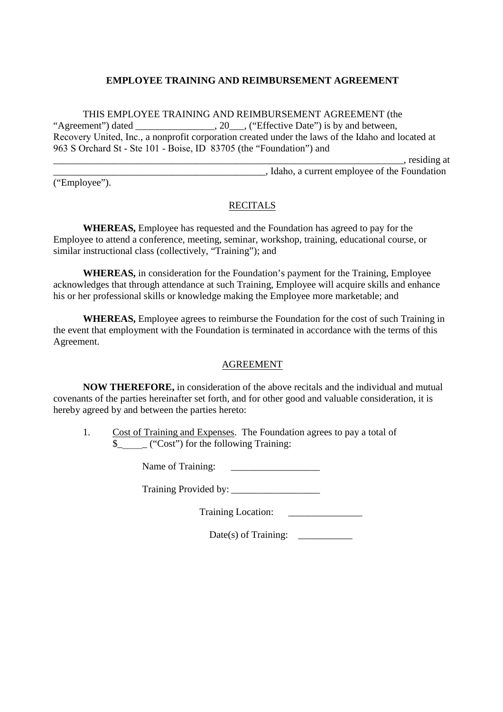## **EMPLOYEE TRAINING AND REIMBURSEMENT AGREEMENT**

THIS EMPLOYEE TRAINING AND REIMBURSEMENT AGREEMENT (the "Agreement") dated . 20 . ("Effective Date") is by and between. Recovery United, Inc., a nonprofit corporation created under the laws of the Idaho and located at 963 S Orchard St - Ste 101 - Boise, ID 83705 (the "Foundation") and

\_\_\_\_\_\_\_\_\_\_\_\_\_\_\_\_\_\_\_\_\_\_\_\_\_\_\_\_\_\_\_\_\_\_\_\_\_\_\_\_\_\_\_\_\_\_\_\_\_\_\_\_\_\_\_\_\_\_\_\_\_\_\_\_\_\_\_\_\_\_\_, residing at

("Employee").

\_\_\_\_\_\_\_\_\_\_\_\_\_\_\_\_\_\_\_\_\_\_\_\_\_\_\_\_\_\_\_\_\_\_\_\_\_\_\_\_\_\_\_, Idaho, a current employee of the Foundation

## RECITALS

**WHEREAS,** Employee has requested and the Foundation has agreed to pay for the Employee to attend a conference, meeting, seminar, workshop, training, educational course, or similar instructional class (collectively, "Training"); and

**WHEREAS,** in consideration for the Foundation's payment for the Training, Employee acknowledges that through attendance at such Training, Employee will acquire skills and enhance his or her professional skills or knowledge making the Employee more marketable; and

**WHEREAS,** Employee agrees to reimburse the Foundation for the cost of such Training in the event that employment with the Foundation is terminated in accordance with the terms of this Agreement.

## AGREEMENT

**NOW THEREFORE,** in consideration of the above recitals and the individual and mutual covenants of the parties hereinafter set forth, and for other good and valuable consideration, it is hereby agreed by and between the parties hereto:

1. Cost of Training and Expenses. The Foundation agrees to pay a total of \$\_\_\_\_\_\_\_ ("Cost") for the following Training:

Name of Training: \_\_\_\_\_\_\_\_\_\_\_\_\_\_\_\_\_\_

Training Provided by: \_\_\_\_\_\_\_\_\_\_\_\_\_\_\_\_\_\_

Training Location: \_\_\_\_\_\_\_\_\_\_\_\_\_\_\_

Date(s) of Training:  $\qquad \qquad$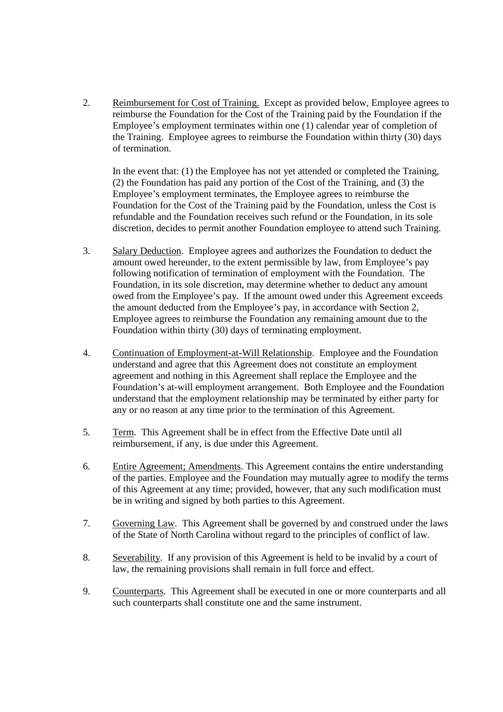2. Reimbursement for Cost of Training. Except as provided below, Employee agrees to reimburse the Foundation for the Cost of the Training paid by the Foundation if the Employee's employment terminates within one (1) calendar year of completion of the Training. Employee agrees to reimburse the Foundation within thirty (30) days of termination.

In the event that: (1) the Employee has not yet attended or completed the Training, (2) the Foundation has paid any portion of the Cost of the Training, and (3) the Employee's employment terminates, the Employee agrees to reimburse the Foundation for the Cost of the Training paid by the Foundation, unless the Cost is refundable and the Foundation receives such refund or the Foundation, in its sole discretion, decides to permit another Foundation employee to attend such Training.

- 3. Salary Deduction. Employee agrees and authorizes the Foundation to deduct the amount owed hereunder, to the extent permissible by law, from Employee's pay following notification of termination of employment with the Foundation. The Foundation, in its sole discretion, may determine whether to deduct any amount owed from the Employee's pay. If the amount owed under this Agreement exceeds the amount deducted from the Employee's pay, in accordance with Section 2, Employee agrees to reimburse the Foundation any remaining amount due to the Foundation within thirty (30) days of terminating employment.
- 4. Continuation of Employment-at-Will Relationship. Employee and the Foundation understand and agree that this Agreement does not constitute an employment agreement and nothing in this Agreement shall replace the Employee and the Foundation's at-will employment arrangement. Both Employee and the Foundation understand that the employment relationship may be terminated by either party for any or no reason at any time prior to the termination of this Agreement.
- 5. Term. This Agreement shall be in effect from the Effective Date until all reimbursement, if any, is due under this Agreement.
- 6. Entire Agreement; Amendments. This Agreement contains the entire understanding of the parties. Employee and the Foundation may mutually agree to modify the terms of this Agreement at any time; provided, however, that any such modification must be in writing and signed by both parties to this Agreement.
- 7. Governing Law. This Agreement shall be governed by and construed under the laws of the State of North Carolina without regard to the principles of conflict of law.
- 8. Severability. If any provision of this Agreement is held to be invalid by a court of law, the remaining provisions shall remain in full force and effect.
- 9. Counterparts. This Agreement shall be executed in one or more counterparts and all such counterparts shall constitute one and the same instrument.